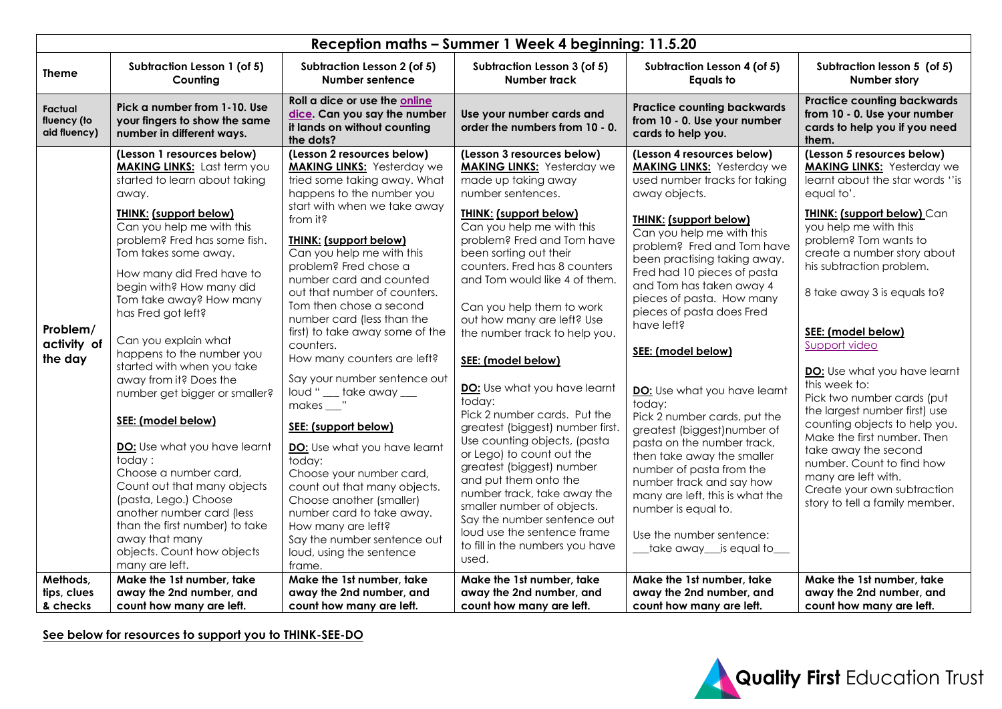| Reception maths - Summer 1 Week 4 beginning: 11.5.20 |                                                                                                                                                                                                                                                                                                                                                                                                                                                                                                                                                                                                                                                                                                                                                                                                  |                                                                                                                                                                                                                                                                                                                                                                                                                                                                                                                                                                                                                                                                                                                                                                                                                                                          |                                                                                                                                                                                                                                                                                                                                                                                                                                                                                                                                                                                                                                                                                                                                                                                                                                                            |                                                                                                                                                                                                                                                                                                                                                                                                                                                                                                                                                                                                                                                                                                                                                                                |                                                                                                                                                                                                                                                                                                                                                                                                                                                                                                                                                                                                                                                                                                    |
|------------------------------------------------------|--------------------------------------------------------------------------------------------------------------------------------------------------------------------------------------------------------------------------------------------------------------------------------------------------------------------------------------------------------------------------------------------------------------------------------------------------------------------------------------------------------------------------------------------------------------------------------------------------------------------------------------------------------------------------------------------------------------------------------------------------------------------------------------------------|----------------------------------------------------------------------------------------------------------------------------------------------------------------------------------------------------------------------------------------------------------------------------------------------------------------------------------------------------------------------------------------------------------------------------------------------------------------------------------------------------------------------------------------------------------------------------------------------------------------------------------------------------------------------------------------------------------------------------------------------------------------------------------------------------------------------------------------------------------|------------------------------------------------------------------------------------------------------------------------------------------------------------------------------------------------------------------------------------------------------------------------------------------------------------------------------------------------------------------------------------------------------------------------------------------------------------------------------------------------------------------------------------------------------------------------------------------------------------------------------------------------------------------------------------------------------------------------------------------------------------------------------------------------------------------------------------------------------------|--------------------------------------------------------------------------------------------------------------------------------------------------------------------------------------------------------------------------------------------------------------------------------------------------------------------------------------------------------------------------------------------------------------------------------------------------------------------------------------------------------------------------------------------------------------------------------------------------------------------------------------------------------------------------------------------------------------------------------------------------------------------------------|----------------------------------------------------------------------------------------------------------------------------------------------------------------------------------------------------------------------------------------------------------------------------------------------------------------------------------------------------------------------------------------------------------------------------------------------------------------------------------------------------------------------------------------------------------------------------------------------------------------------------------------------------------------------------------------------------|
| <b>Theme</b>                                         | Subtraction Lesson 1 (of 5)<br>Counting                                                                                                                                                                                                                                                                                                                                                                                                                                                                                                                                                                                                                                                                                                                                                          | Subtraction Lesson 2 (of 5)<br><b>Number sentence</b>                                                                                                                                                                                                                                                                                                                                                                                                                                                                                                                                                                                                                                                                                                                                                                                                    | Subtraction Lesson 3 (of 5)<br>Number track                                                                                                                                                                                                                                                                                                                                                                                                                                                                                                                                                                                                                                                                                                                                                                                                                | Subtraction Lesson 4 (of 5)<br><b>Equals to</b>                                                                                                                                                                                                                                                                                                                                                                                                                                                                                                                                                                                                                                                                                                                                | Subtraction lesson 5 (of 5)<br>Number story                                                                                                                                                                                                                                                                                                                                                                                                                                                                                                                                                                                                                                                        |
| Factual<br>fluency (to<br>aid fluency)               | Pick a number from 1-10. Use<br>your fingers to show the same<br>number in different ways.                                                                                                                                                                                                                                                                                                                                                                                                                                                                                                                                                                                                                                                                                                       | Roll a dice or use the online<br>dice. Can you say the number<br>it lands on without counting<br>the dots?                                                                                                                                                                                                                                                                                                                                                                                                                                                                                                                                                                                                                                                                                                                                               | Use your number cards and<br>order the numbers from 10 - 0.                                                                                                                                                                                                                                                                                                                                                                                                                                                                                                                                                                                                                                                                                                                                                                                                | <b>Practice counting backwards</b><br>from 10 - 0. Use your number<br>cards to help you.                                                                                                                                                                                                                                                                                                                                                                                                                                                                                                                                                                                                                                                                                       | <b>Practice counting backwards</b><br>from 10 - 0. Use your number<br>cards to help you if you need<br>them.                                                                                                                                                                                                                                                                                                                                                                                                                                                                                                                                                                                       |
| Problem/<br>activity of<br>the day<br>Methods,       | (Lesson 1 resources below)<br><b>MAKING LINKS:</b> Last term you<br>started to learn about taking<br>away.<br>THINK: (support below)<br>Can you help me with this<br>problem? Fred has some fish.<br>Tom takes some away.<br>How many did Fred have to<br>begin with? How many did<br>Tom take away? How many<br>has Fred got left?<br>Can you explain what<br>happens to the number you<br>started with when you take<br>away from it? Does the<br>number get bigger or smaller?<br>SEE: (model below)<br>DO: Use what you have learnt<br>today:<br>Choose a number card,<br>Count out that many objects<br>(pasta, Lego.) Choose<br>another number card (less<br>than the first number) to take<br>away that many<br>objects. Count how objects<br>many are left.<br>Make the 1st number, take | (Lesson 2 resources below)<br><b>MAKING LINKS:</b> Yesterday we<br>tried some taking away. What<br>happens to the number you<br>start with when we take away<br>from it?<br><b>THINK: (support below)</b><br>Can you help me with this<br>problem? Fred chose a<br>number card and counted<br>out that number of counters.<br>Tom then chose a second<br>number card (less than the<br>first) to take away some of the<br>counters.<br>How many counters are left?<br>Say your number sentence out<br>loud " __ take away __<br>makes __"<br>SEE: (support below)<br>DO: Use what you have learnt<br>today:<br>Choose your number card,<br>count out that many objects.<br>Choose another (smaller)<br>number card to take away.<br>How many are left?<br>Say the number sentence out<br>loud, using the sentence<br>frame.<br>Make the 1st number, take | (Lesson 3 resources below)<br><b>MAKING LINKS:</b> Yesterday we<br>made up taking away<br>number sentences.<br><b>THINK: (support below)</b><br>Can you help me with this<br>problem? Fred and Tom have<br>been sorting out their<br>counters. Fred has 8 counters<br>and Tom would like 4 of them.<br>Can you help them to work<br>out how many are left? Use<br>the number track to help you.<br>SEE: (model below)<br>DO: Use what you have learnt<br>today:<br>Pick 2 number cards. Put the<br>greatest (biggest) number first.<br>Use counting objects, (pasta<br>or Lego) to count out the<br>greatest (biggest) number<br>and put them onto the<br>number track, take away the<br>smaller number of objects.<br>Say the number sentence out<br>loud use the sentence frame<br>to fill in the numbers you have<br>used.<br>Make the 1st number, take | (Lesson 4 resources below)<br><b>MAKING LINKS:</b> Yesterday we<br>used number tracks for taking<br>away objects.<br>THINK: (support below)<br>Can you help me with this<br>problem? Fred and Tom have<br>been practising taking away.<br>Fred had 10 pieces of pasta<br>and Tom has taken away 4<br>pieces of pasta. How many<br>pieces of pasta does Fred<br>have left?<br>SEE: (model below)<br>DO: Use what you have learnt<br>today:<br>Pick 2 number cards, put the<br>greatest (biggest) number of<br>pasta on the number track,<br>then take away the smaller<br>number of pasta from the<br>number track and say how<br>many are left, this is what the<br>number is equal to.<br>Use the number sentence:<br>__take away__is equal to__<br>Make the 1st number, take | (Lesson 5 resources below)<br><b>MAKING LINKS:</b> Yesterday we<br>learnt about the star words "is<br>equal to'.<br><b>THINK: (support below) Can</b><br>you help me with this<br>problem? Tom wants to<br>create a number story about<br>his subtraction problem.<br>8 take away 3 is equals to?<br>SEE: (model below)<br>Support video<br>DO: Use what you have learnt<br>this week to:<br>Pick two number cards (put<br>the largest number first) use<br>counting objects to help you.<br>Make the first number. Then<br>take away the second<br>number. Count to find how<br>many are left with.<br>Create your own subtraction<br>story to tell a family member.<br>Make the 1st number, take |
| tips, clues<br>& checks                              | away the 2nd number, and<br>count how many are left.                                                                                                                                                                                                                                                                                                                                                                                                                                                                                                                                                                                                                                                                                                                                             | away the 2nd number, and<br>count how many are left.                                                                                                                                                                                                                                                                                                                                                                                                                                                                                                                                                                                                                                                                                                                                                                                                     | away the 2nd number, and<br>count how many are left.                                                                                                                                                                                                                                                                                                                                                                                                                                                                                                                                                                                                                                                                                                                                                                                                       | away the 2nd number, and<br>count how many are left.                                                                                                                                                                                                                                                                                                                                                                                                                                                                                                                                                                                                                                                                                                                           | away the 2nd number, and<br>count how many are left.                                                                                                                                                                                                                                                                                                                                                                                                                                                                                                                                                                                                                                               |

**See below for resources to support you to THINK-SEE-DO**

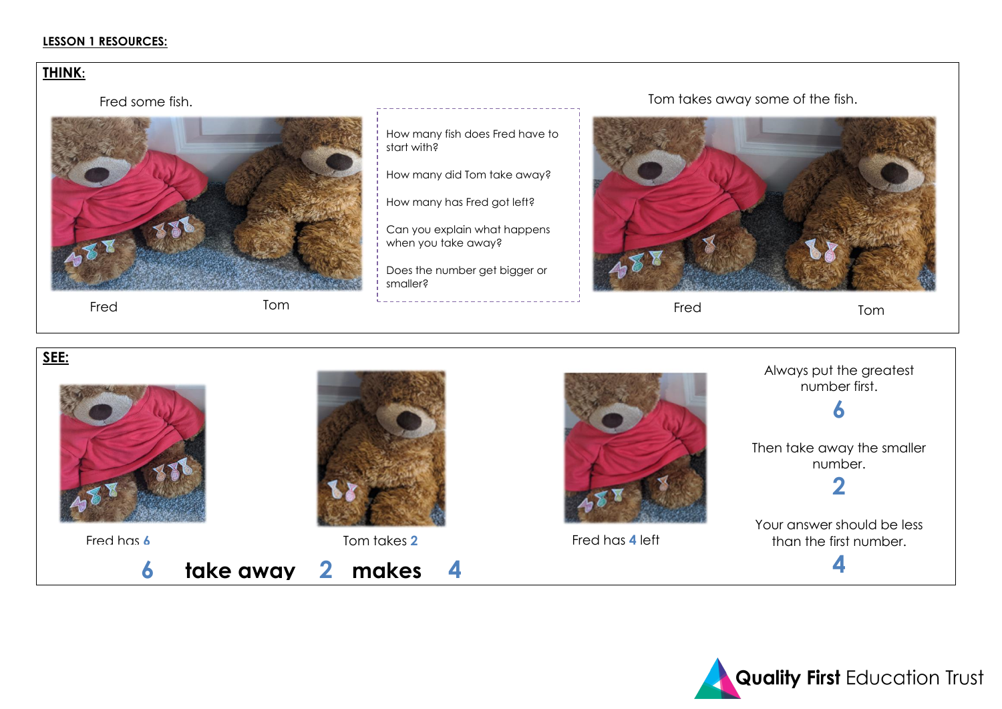## **LESSON 1 RESOURCES:**

# **THINK:**

Fred some fish.



 **6 take away 2 makes 4**

Tom Fred Fred Fred Tom

How many fish does Fred have to start with?

How many did Tom take away?

How many has Fred got left?

Can you explain what happens when you take away?

Does the number get bigger or smaller?

Tom takes away some of the fish.



# **SEE:**







Always put the greatest number first.

**6**

Then take away the smaller number.

**2**

Your answer should be less than the first number.

**4**

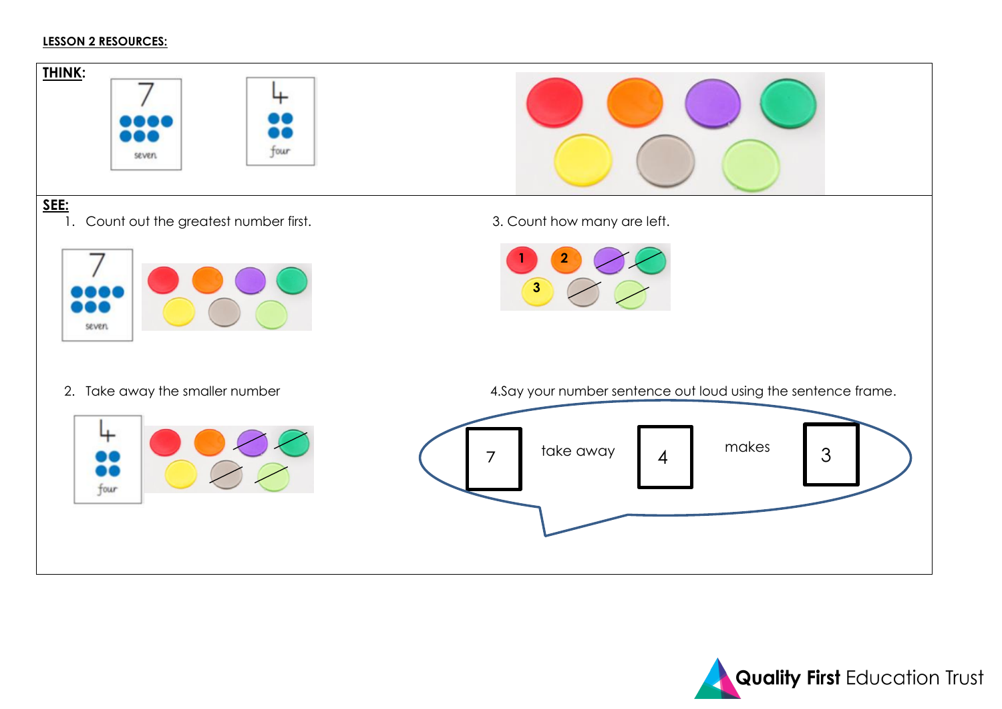## **LESSON 2 RESOURCES:**



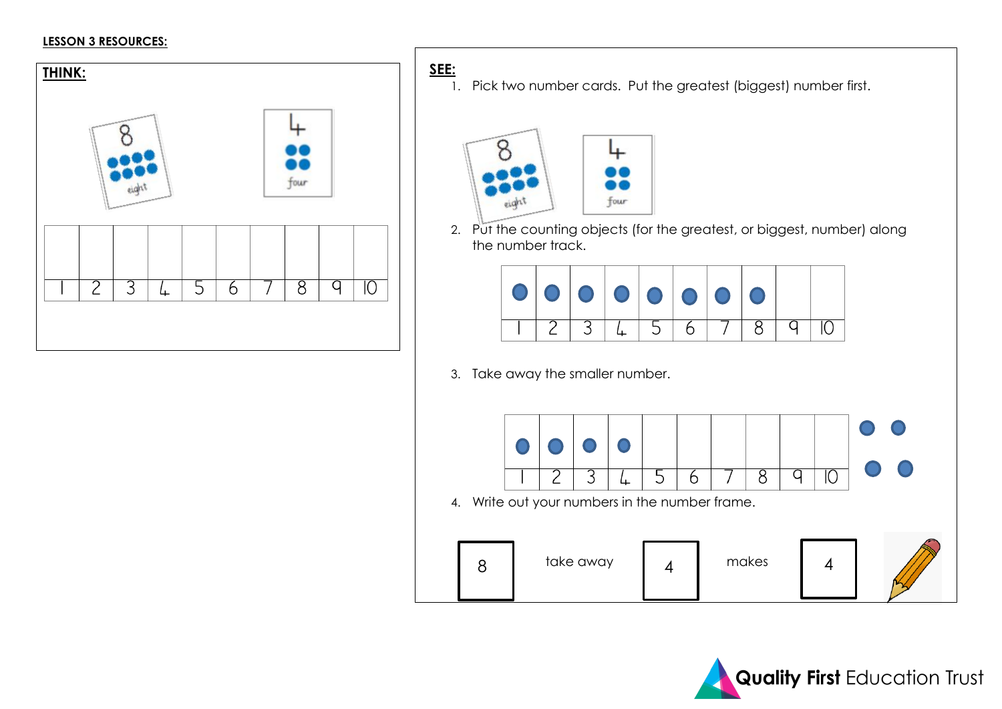## **LESSON 3 RESOURCES:**



1. Pick two number cards. Put the greatest (biggest) number first.



2. Put the counting objects (for the greatest, or biggest, number) along the number track.



3. Take away the smaller number.



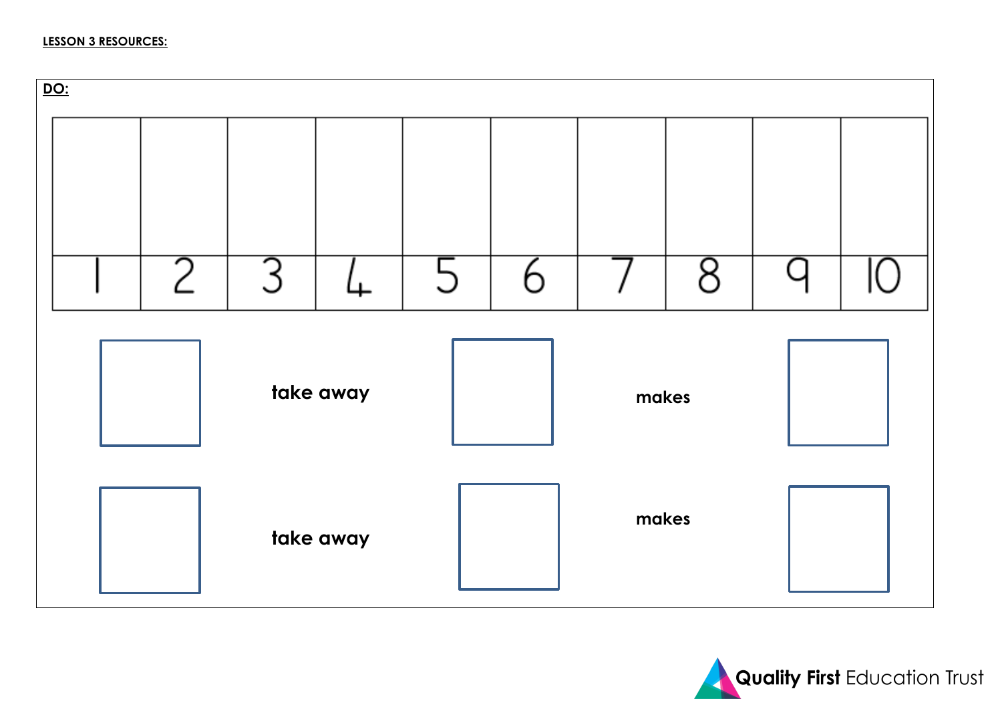

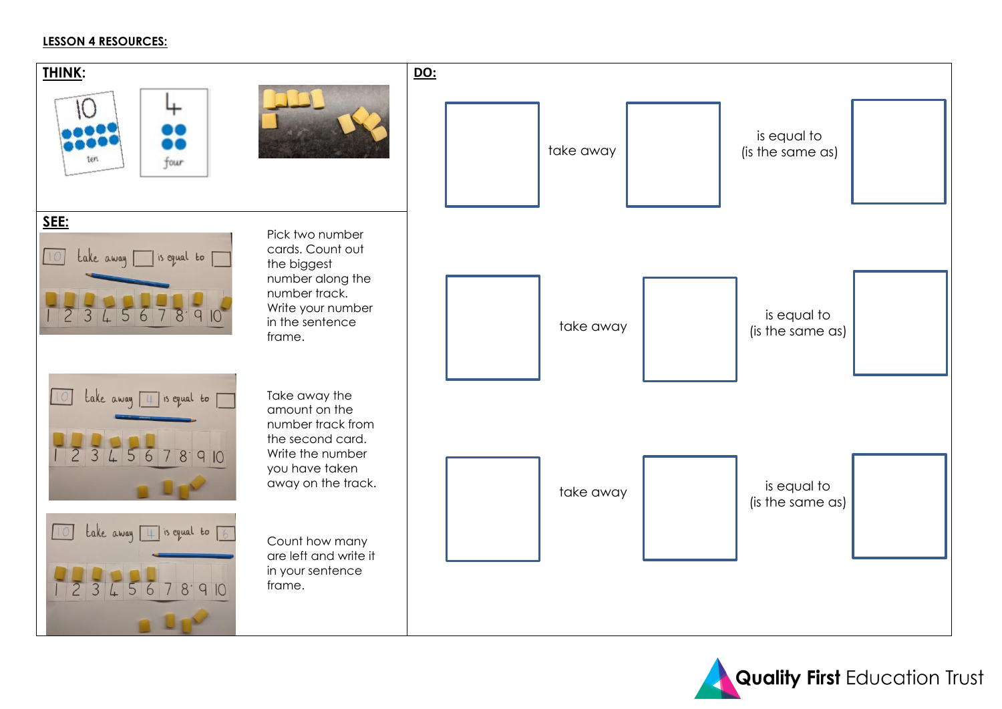## **LESSON 4 RESOURCES:**